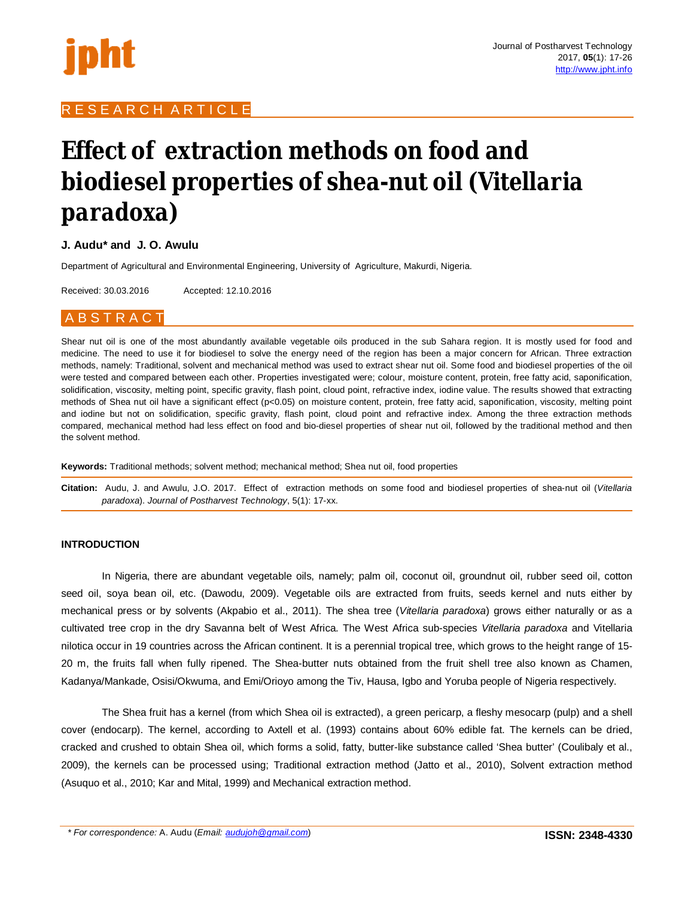

# R E S E A R C H A R T I C L E

# **Effect of extraction methods on food and biodiesel properties of shea-nut oil (***Vitellaria paradoxa***)**

# **J. Audu\* and J. O. Awulu**

Department of Agricultural and Environmental Engineering, University of Agriculture, Makurdi, Nigeria.

Received: 30.03.2016 Accepted: 12.10.2016

# **B S T R A C T**

Shear nut oil is one of the most abundantly available vegetable oils produced in the sub Sahara region. It is mostly used for food and medicine. The need to use it for biodiesel to solve the energy need of the region has been a major concern for African. Three extraction methods, namely: Traditional, solvent and mechanical method was used to extract shear nut oil. Some food and biodiesel properties of the oil were tested and compared between each other. Properties investigated were; colour, moisture content, protein, free fatty acid, saponification, solidification, viscosity, melting point, specific gravity, flash point, cloud point, refractive index, iodine value. The results showed that extracting methods of Shea nut oil have a significant effect (p<0.05) on moisture content, protein, free fatty acid, saponification, viscosity, melting point and iodine but not on solidification, specific gravity, flash point, cloud point and refractive index. Among the three extraction methods compared, mechanical method had less effect on food and bio-diesel properties of shear nut oil, followed by the traditional method and then the solvent method.

**Keywords:** Traditional methods; solvent method; mechanical method; Shea nut oil, food properties

**Citation:** Audu, J. and Awulu, J.O. 2017. Effect of extraction methods on some food and biodiesel properties of shea-nut oil (*Vitellaria paradoxa*). *Journal of Postharvest Technology*, 5(1): 17-xx.

# **INTRODUCTION**

In Nigeria, there are abundant vegetable oils, namely; palm oil, coconut oil, groundnut oil, rubber seed oil, cotton seed oil, soya bean oil, etc. (Dawodu, 2009). Vegetable oils are extracted from fruits, seeds kernel and nuts either by mechanical press or by solvents (Akpabio et al., 2011). The shea tree (*Vitellaria paradoxa*) grows either naturally or as a cultivated tree crop in the dry Savanna belt of West Africa. The West Africa sub-species *Vitellaria paradoxa* and Vitellaria nilotica occur in 19 countries across the African continent. It is a perennial tropical tree, which grows to the height range of 15- 20 m, the fruits fall when fully ripened. The Shea-butter nuts obtained from the fruit shell tree also known as Chamen, Kadanya/Mankade, Osisi/Okwuma, and Emi/Orioyo among the Tiv, Hausa, Igbo and Yoruba people of Nigeria respectively.

The Shea fruit has a kernel (from which Shea oil is extracted), a green pericarp, a fleshy mesocarp (pulp) and a shell cover (endocarp). The kernel, according to Axtell et al. (1993) contains about 60% edible fat. The kernels can be dried, cracked and crushed to obtain Shea oil, which forms a solid, fatty, butter-like substance called 'Shea butter' (Coulibaly et al., 2009), the kernels can be processed using; Traditional extraction method (Jatto et al., 2010), Solvent extraction method (Asuquo et al., 2010; Kar and Mital, 1999) and Mechanical extraction method.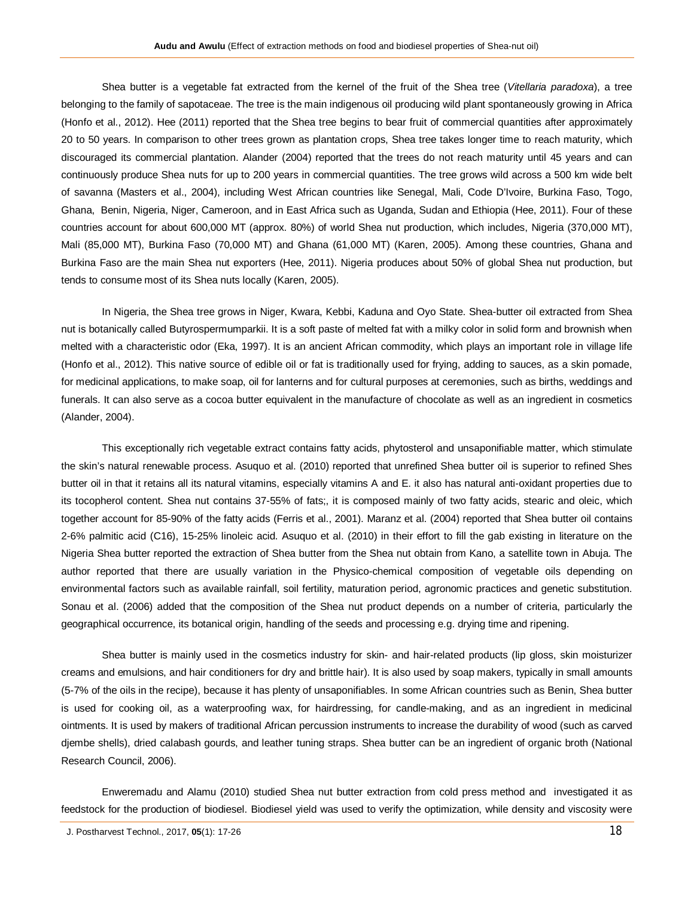Shea butter is a vegetable fat extracted from the kernel of the fruit of the Shea tree (*Vitellaria paradoxa*), a tree belonging to the family of sapotaceae. The tree is the main indigenous oil producing wild plant spontaneously growing in Africa (Honfo et al., 2012). Hee (2011) reported that the Shea tree begins to bear fruit of commercial quantities after approximately 20 to 50 years. In comparison to other trees grown as plantation crops, Shea tree takes longer time to reach maturity, which discouraged its commercial plantation. Alander (2004) reported that the trees do not reach maturity until 45 years and can continuously produce Shea nuts for up to 200 years in commercial quantities. The tree grows wild across a 500 km wide belt of savanna (Masters et al., 2004), including West African countries like Senegal, Mali, Code D'Ivoire, Burkina Faso, Togo, Ghana, Benin, Nigeria, Niger, Cameroon, and in East Africa such as Uganda, Sudan and Ethiopia (Hee, 2011). Four of these countries account for about 600,000 MT (approx. 80%) of world Shea nut production, which includes, Nigeria (370,000 MT), Mali (85,000 MT), Burkina Faso (70,000 MT) and Ghana (61,000 MT) (Karen, 2005). Among these countries, Ghana and Burkina Faso are the main Shea nut exporters (Hee, 2011). Nigeria produces about 50% of global Shea nut production, but tends to consume most of its Shea nuts locally (Karen, 2005).

In Nigeria, the Shea tree grows in Niger, Kwara, Kebbi, Kaduna and Oyo State. Shea-butter oil extracted from Shea nut is botanically called Butyrospermumparkii. It is a soft paste of melted fat with a milky color in solid form and brownish when melted with a characteristic odor (Eka, 1997). It is an ancient African commodity, which plays an important role in village life (Honfo et al., 2012). This native source of edible oil or fat is traditionally used for frying, adding to sauces, as a skin pomade, for medicinal applications, to make soap, oil for lanterns and for cultural purposes at ceremonies, such as births, weddings and funerals. It can also serve as a cocoa butter equivalent in the manufacture of chocolate as well as an ingredient in cosmetics (Alander, 2004).

This exceptionally rich vegetable extract contains fatty acids, phytosterol and unsaponifiable matter, which stimulate the skin's natural renewable process. Asuquo et al. (2010) reported that unrefined Shea butter oil is superior to refined Shes butter oil in that it retains all its natural vitamins, especially vitamins A and E. it also has natural anti-oxidant properties due to its tocopherol content. Shea nut contains 37-55% of fats;, it is composed mainly of two fatty acids, stearic and oleic, which together account for 85-90% of the fatty acids (Ferris et al., 2001). Maranz et al. (2004) reported that Shea butter oil contains 2-6% palmitic acid (C16), 15-25% linoleic acid. Asuquo et al. (2010) in their effort to fill the gab existing in literature on the Nigeria Shea butter reported the extraction of Shea butter from the Shea nut obtain from Kano, a satellite town in Abuja. The author reported that there are usually variation in the Physico-chemical composition of vegetable oils depending on environmental factors such as available rainfall, soil fertility, maturation period, agronomic practices and genetic substitution. Sonau et al. (2006) added that the composition of the Shea nut product depends on a number of criteria, particularly the geographical occurrence, its botanical origin, handling of the seeds and processing e.g. drying time and ripening.

Shea butter is mainly used in the cosmetics industry for skin- and hair-related products (lip gloss, skin moisturizer creams and emulsions, and hair conditioners for dry and brittle hair). It is also used by soap makers, typically in small amounts (5-7% of the oils in the recipe), because it has plenty of unsaponifiables. In some African countries such as Benin, Shea butter is used for cooking oil, as a waterproofing wax, for hairdressing, for candle-making, and as an ingredient in medicinal ointments. It is used by makers of traditional African percussion instruments to increase the durability of wood (such as carved djembe shells), dried calabash gourds, and leather tuning straps. Shea butter can be an ingredient of organic broth (National Research Council, 2006).

Enweremadu and Alamu (2010) studied Shea nut butter extraction from cold press method and investigated it as feedstock for the production of biodiesel. Biodiesel yield was used to verify the optimization, while density and viscosity were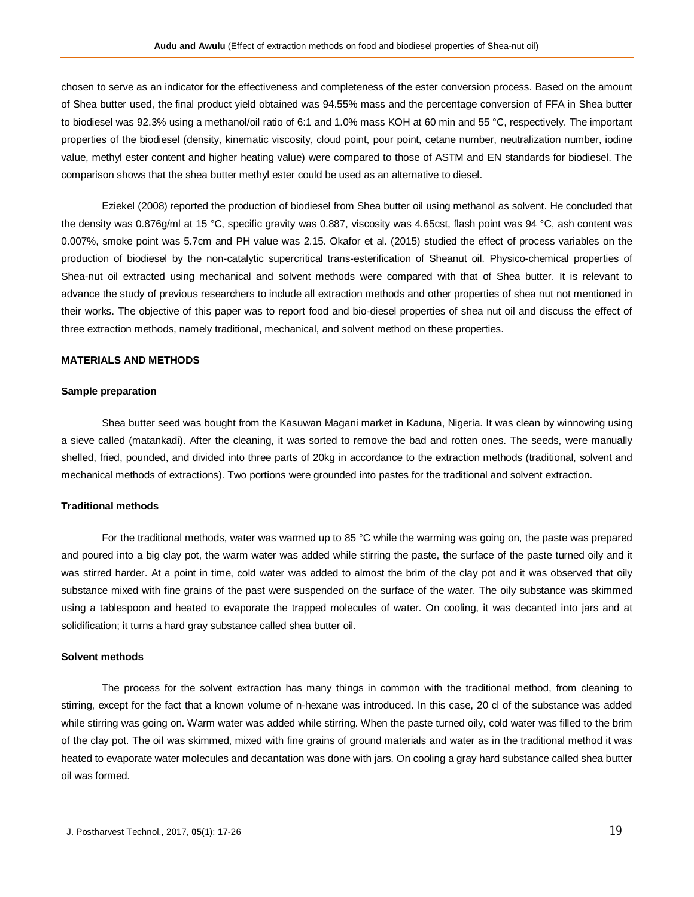chosen to serve as an indicator for the effectiveness and completeness of the ester conversion process. Based on the amount of Shea butter used, the final product yield obtained was 94.55% mass and the percentage conversion of FFA in Shea butter to biodiesel was 92.3% using a methanol/oil ratio of 6:1 and 1.0% mass KOH at 60 min and 55 °C, respectively. The important properties of the biodiesel (density, kinematic viscosity, cloud point, pour point, cetane number, neutralization number, iodine value, methyl ester content and higher heating value) were compared to those of ASTM and EN standards for biodiesel. The comparison shows that the shea butter methyl ester could be used as an alternative to diesel.

Eziekel (2008) reported the production of biodiesel from Shea butter oil using methanol as solvent. He concluded that the density was 0.876g/ml at 15 °C, specific gravity was 0.887, viscosity was 4.65cst, flash point was 94 °C, ash content was 0.007%, smoke point was 5.7cm and PH value was 2.15. Okafor et al. (2015) studied the effect of process variables on the production of biodiesel by the non-catalytic supercritical trans-esterification of Sheanut oil. Physico-chemical properties of Shea-nut oil extracted using mechanical and solvent methods were compared with that of Shea butter. It is relevant to advance the study of previous researchers to include all extraction methods and other properties of shea nut not mentioned in their works. The objective of this paper was to report food and bio-diesel properties of shea nut oil and discuss the effect of three extraction methods, namely traditional, mechanical, and solvent method on these properties.

#### **MATERIALS AND METHODS**

#### **Sample preparation**

Shea butter seed was bought from the Kasuwan Magani market in Kaduna, Nigeria. It was clean by winnowing using a sieve called (matankadi). After the cleaning, it was sorted to remove the bad and rotten ones. The seeds, were manually shelled, fried, pounded, and divided into three parts of 20kg in accordance to the extraction methods (traditional, solvent and mechanical methods of extractions). Two portions were grounded into pastes for the traditional and solvent extraction.

# **Traditional methods**

For the traditional methods, water was warmed up to 85 °C while the warming was going on, the paste was prepared and poured into a big clay pot, the warm water was added while stirring the paste, the surface of the paste turned oily and it was stirred harder. At a point in time, cold water was added to almost the brim of the clay pot and it was observed that oily substance mixed with fine grains of the past were suspended on the surface of the water. The oily substance was skimmed using a tablespoon and heated to evaporate the trapped molecules of water. On cooling, it was decanted into jars and at solidification; it turns a hard gray substance called shea butter oil.

#### **Solvent methods**

The process for the solvent extraction has many things in common with the traditional method, from cleaning to stirring, except for the fact that a known volume of n-hexane was introduced. In this case, 20 cl of the substance was added while stirring was going on. Warm water was added while stirring. When the paste turned oily, cold water was filled to the brim of the clay pot. The oil was skimmed, mixed with fine grains of ground materials and water as in the traditional method it was heated to evaporate water molecules and decantation was done with jars. On cooling a gray hard substance called shea butter oil was formed.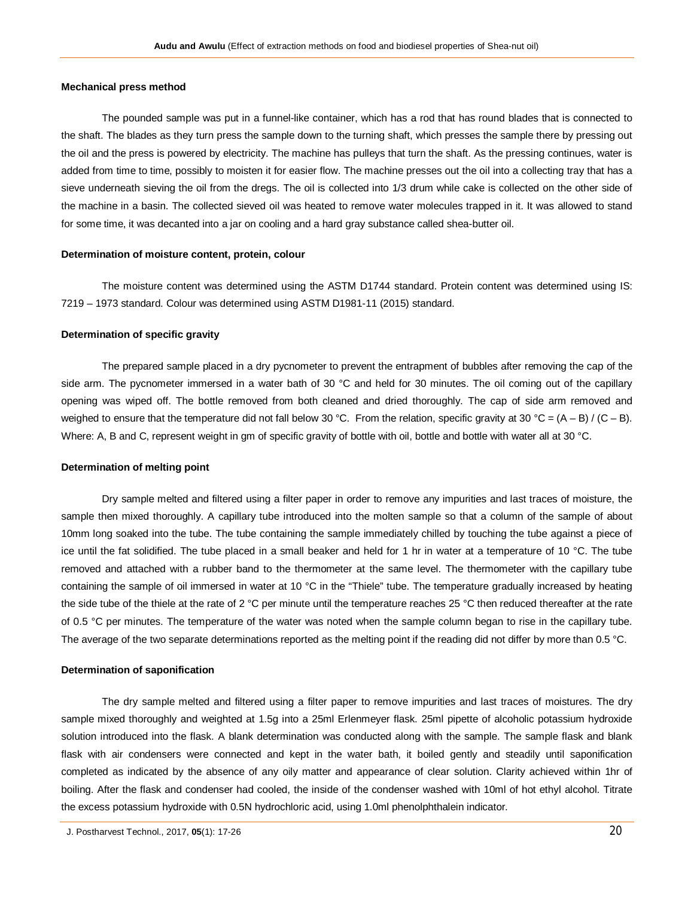# **Mechanical press method**

The pounded sample was put in a funnel-like container, which has a rod that has round blades that is connected to the shaft. The blades as they turn press the sample down to the turning shaft, which presses the sample there by pressing out the oil and the press is powered by electricity. The machine has pulleys that turn the shaft. As the pressing continues, water is added from time to time, possibly to moisten it for easier flow. The machine presses out the oil into a collecting tray that has a sieve underneath sieving the oil from the dregs. The oil is collected into 1/3 drum while cake is collected on the other side of the machine in a basin. The collected sieved oil was heated to remove water molecules trapped in it. It was allowed to stand for some time, it was decanted into a jar on cooling and a hard gray substance called shea-butter oil.

# **Determination of moisture content, protein, colour**

The moisture content was determined using the ASTM D1744 standard. Protein content was determined using IS: 7219 – 1973 standard. Colour was determined using ASTM D1981-11 (2015) standard.

#### **Determination of specific gravity**

The prepared sample placed in a dry pycnometer to prevent the entrapment of bubbles after removing the cap of the side arm. The pycnometer immersed in a water bath of 30 °C and held for 30 minutes. The oil coming out of the capillary opening was wiped off. The bottle removed from both cleaned and dried thoroughly. The cap of side arm removed and weighed to ensure that the temperature did not fall below 30 °C. From the relation, specific gravity at 30 °C =  $(A - B) / (C - B)$ . Where: A, B and C, represent weight in gm of specific gravity of bottle with oil, bottle and bottle with water all at 30 °C.

# **Determination of melting point**

Dry sample melted and filtered using a filter paper in order to remove any impurities and last traces of moisture, the sample then mixed thoroughly. A capillary tube introduced into the molten sample so that a column of the sample of about 10mm long soaked into the tube. The tube containing the sample immediately chilled by touching the tube against a piece of ice until the fat solidified. The tube placed in a small beaker and held for 1 hr in water at a temperature of 10 °C. The tube removed and attached with a rubber band to the thermometer at the same level. The thermometer with the capillary tube containing the sample of oil immersed in water at 10 °C in the "Thiele" tube. The temperature gradually increased by heating the side tube of the thiele at the rate of 2 °C per minute until the temperature reaches 25 °C then reduced thereafter at the rate of 0.5 °C per minutes. The temperature of the water was noted when the sample column began to rise in the capillary tube. The average of the two separate determinations reported as the melting point if the reading did not differ by more than 0.5 °C.

#### **Determination of saponification**

The dry sample melted and filtered using a filter paper to remove impurities and last traces of moistures. The dry sample mixed thoroughly and weighted at 1.5g into a 25ml Erlenmeyer flask. 25ml pipette of alcoholic potassium hydroxide solution introduced into the flask. A blank determination was conducted along with the sample. The sample flask and blank flask with air condensers were connected and kept in the water bath, it boiled gently and steadily until saponification completed as indicated by the absence of any oily matter and appearance of clear solution. Clarity achieved within 1hr of boiling. After the flask and condenser had cooled, the inside of the condenser washed with 10ml of hot ethyl alcohol. Titrate the excess potassium hydroxide with 0.5N hydrochloric acid, using 1.0ml phenolphthalein indicator.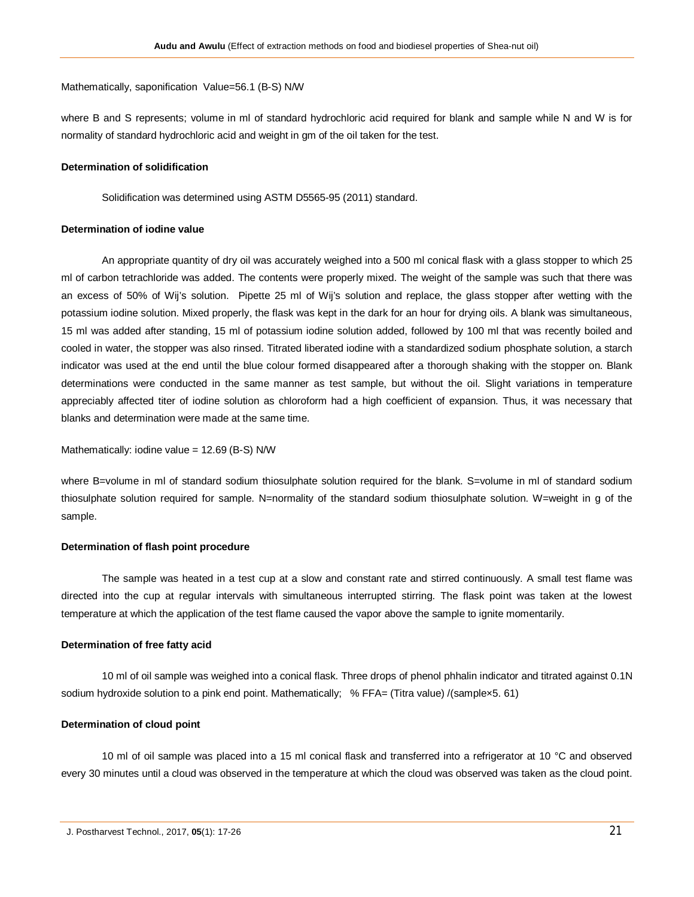Mathematically, saponification Value=56.1 (B-S) N/W

where B and S represents; volume in ml of standard hydrochloric acid required for blank and sample while N and W is for normality of standard hydrochloric acid and weight in gm of the oil taken for the test.

#### **Determination of solidification**

Solidification was determined using ASTM D5565-95 (2011) standard.

# **Determination of iodine value**

An appropriate quantity of dry oil was accurately weighed into a 500 ml conical flask with a glass stopper to which 25 ml of carbon tetrachloride was added. The contents were properly mixed. The weight of the sample was such that there was an excess of 50% of Wij's solution. Pipette 25 ml of Wij's solution and replace, the glass stopper after wetting with the potassium iodine solution. Mixed properly, the flask was kept in the dark for an hour for drying oils. A blank was simultaneous, 15 ml was added after standing, 15 ml of potassium iodine solution added, followed by 100 ml that was recently boiled and cooled in water, the stopper was also rinsed. Titrated liberated iodine with a standardized sodium phosphate solution, a starch indicator was used at the end until the blue colour formed disappeared after a thorough shaking with the stopper on. Blank determinations were conducted in the same manner as test sample, but without the oil. Slight variations in temperature appreciably affected titer of iodine solution as chloroform had a high coefficient of expansion. Thus, it was necessary that blanks and determination were made at the same time.

Mathematically: iodine value = 12.69 (B-S) N/W

where B=volume in ml of standard sodium thiosulphate solution required for the blank. S=volume in ml of standard sodium thiosulphate solution required for sample. N=normality of the standard sodium thiosulphate solution. W=weight in g of the sample.

# **Determination of flash point procedure**

The sample was heated in a test cup at a slow and constant rate and stirred continuously. A small test flame was directed into the cup at regular intervals with simultaneous interrupted stirring. The flask point was taken at the lowest temperature at which the application of the test flame caused the vapor above the sample to ignite momentarily.

# **Determination of free fatty acid**

10 ml of oil sample was weighed into a conical flask. Three drops of phenol phhalin indicator and titrated against 0.1N sodium hydroxide solution to a pink end point. Mathematically; % FFA= (Titra value) /(samplex5. 61)

# **Determination of cloud point**

10 ml of oil sample was placed into a 15 ml conical flask and transferred into a refrigerator at 10 °C and observed every 30 minutes until a cloud was observed in the temperature at which the cloud was observed was taken as the cloud point.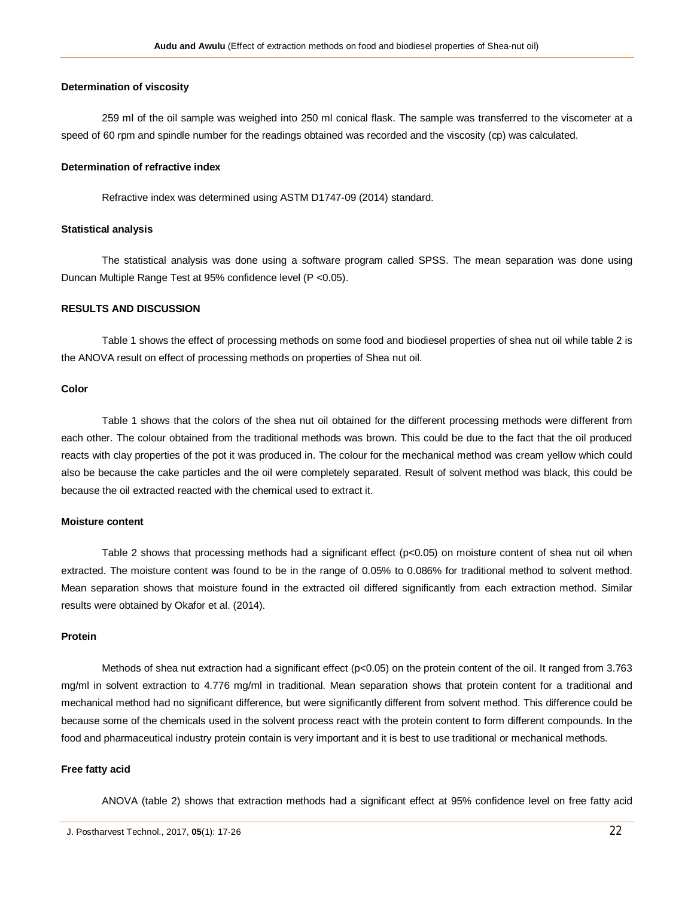#### **Determination of viscosity**

259 ml of the oil sample was weighed into 250 ml conical flask. The sample was transferred to the viscometer at a speed of 60 rpm and spindle number for the readings obtained was recorded and the viscosity (cp) was calculated.

#### **Determination of refractive index**

Refractive index was determined using ASTM D1747-09 (2014) standard.

#### **Statistical analysis**

The statistical analysis was done using a software program called SPSS. The mean separation was done using Duncan Multiple Range Test at 95% confidence level (P <0.05).

# **RESULTS AND DISCUSSION**

Table 1 shows the effect of processing methods on some food and biodiesel properties of shea nut oil while table 2 is the ANOVA result on effect of processing methods on properties of Shea nut oil.

#### **Color**

Table 1 shows that the colors of the shea nut oil obtained for the different processing methods were different from each other. The colour obtained from the traditional methods was brown. This could be due to the fact that the oil produced reacts with clay properties of the pot it was produced in. The colour for the mechanical method was cream yellow which could also be because the cake particles and the oil were completely separated. Result of solvent method was black, this could be because the oil extracted reacted with the chemical used to extract it.

#### **Moisture content**

Table 2 shows that processing methods had a significant effect (p<0.05) on moisture content of shea nut oil when extracted. The moisture content was found to be in the range of 0.05% to 0.086% for traditional method to solvent method. Mean separation shows that moisture found in the extracted oil differed significantly from each extraction method. Similar results were obtained by Okafor et al. (2014).

#### **Protein**

Methods of shea nut extraction had a significant effect (p<0.05) on the protein content of the oil. It ranged from 3.763 mg/ml in solvent extraction to 4.776 mg/ml in traditional. Mean separation shows that protein content for a traditional and mechanical method had no significant difference, but were significantly different from solvent method. This difference could be because some of the chemicals used in the solvent process react with the protein content to form different compounds. In the food and pharmaceutical industry protein contain is very important and it is best to use traditional or mechanical methods.

# **Free fatty acid**

ANOVA (table 2) shows that extraction methods had a significant effect at 95% confidence level on free fatty acid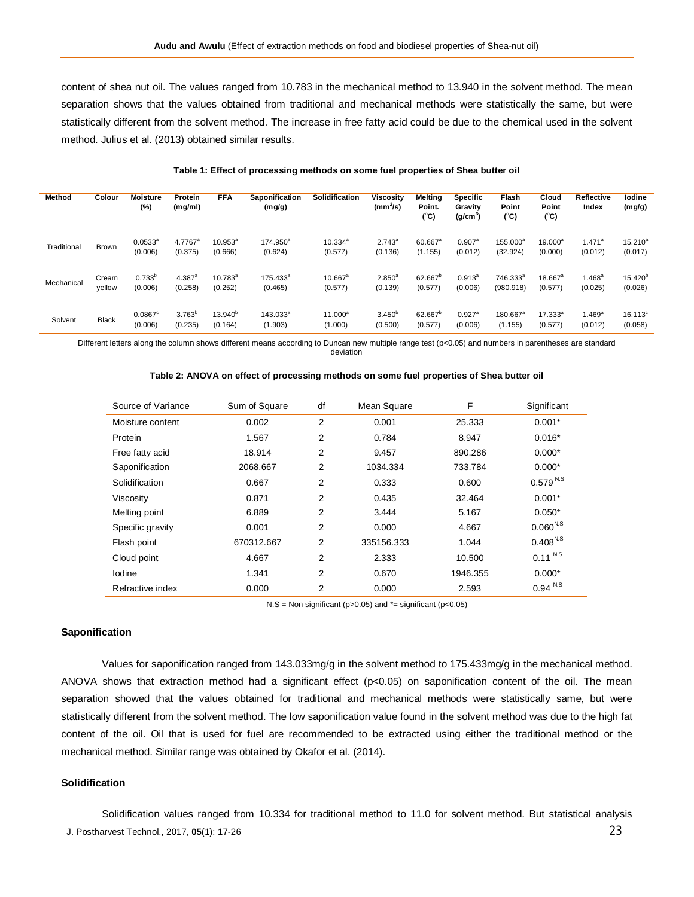content of shea nut oil. The values ranged from 10.783 in the mechanical method to 13.940 in the solvent method. The mean separation shows that the values obtained from traditional and mechanical methods were statistically the same, but were statistically different from the solvent method. The increase in free fatty acid could be due to the chemical used in the solvent method. Julius et al. (2013) obtained similar results.

| <b>Method</b> | Colour          | <b>Moisture</b><br>$(\%)$        | Protein<br>(mg/ml)              | <b>FFA</b>                  | <b>Saponification</b><br>(mg/g) | <b>Solidification</b>   | <b>Viscosity</b><br>$(mm^2/s)$ | <b>Melting</b><br>Point.<br>$(^{\circ}C)$ | <b>Specific</b><br>Gravity<br>(g/cm <sup>3</sup> ) | Flash<br>Point<br>(°C)            | Cloud<br>Point<br>(°C)  | <b>Reflective</b><br>Index | lodine<br>(mg/g)            |
|---------------|-----------------|----------------------------------|---------------------------------|-----------------------------|---------------------------------|-------------------------|--------------------------------|-------------------------------------------|----------------------------------------------------|-----------------------------------|-------------------------|----------------------------|-----------------------------|
| Traditional   | <b>Brown</b>    | $0.0533^{a}$<br>(0.006)          | 4.7767 <sup>a</sup><br>(0.375)  | $10.953^{\circ}$<br>(0.666) | 174.950 <sup>a</sup><br>(0.624) | $10.334^{a}$<br>(0.577) | $2.743^a$<br>(0.136)           | 60.667 <sup>a</sup><br>(1.155)            | $0.907$ <sup>a</sup><br>(0.012)                    | 155.000 <sup>a</sup><br>(32.924)  | $19.000^a$<br>(0.000)   | $1.471^a$<br>(0.012)       | $15.210^{a}$<br>(0.017)     |
| Mechanical    | Cream<br>yellow | $0.733^{b}$<br>(0.006)           | $4.387$ <sup>a</sup><br>(0.258) | $10.783^{a}$<br>(0.252)     | $175.433^a$<br>(0.465)          | $10.667^a$<br>(0.577)   | $2.850^{a}$<br>(0.139)         | 62.667 <sup>b</sup><br>(0.577)            | $0.913^{a}$<br>(0.006)                             | 746.333 <sup>a</sup><br>(980.918) | $18.667^a$<br>(0.577)   | $1.468^{\rm a}$<br>(0.025) | $15.420^{b}$<br>(0.026)     |
| Solvent       | <b>Black</b>    | $0.0867$ <sup>c</sup><br>(0.006) | $3.763^{\circ}$<br>(0.235)      | $13.940^{b}$<br>(0.164)     | 143.033 <sup>a</sup><br>(1.903) | $11.000^a$<br>(1.000)   | $3.450^{b}$<br>(0.500)         | 62.667 <sup>°</sup><br>(0.577)            | $0.927$ <sup>a</sup><br>(0.006)                    | 180.667 <sup>a</sup><br>(1.155)   | $17.333^{a}$<br>(0.577) | $1.469^{a}$<br>(0.012)     | $16.113^{\circ}$<br>(0.058) |

#### **Table 1: Effect of processing methods on some fuel properties of Shea butter oil**

Different letters along the column shows different means according to Duncan new multiple range test (p<0.05) and numbers in parentheses are standard deviation

| Source of Variance | Sum of Square | df             | Mean Square | F        | Significant           |
|--------------------|---------------|----------------|-------------|----------|-----------------------|
| Moisture content   | 0.002         | $\overline{2}$ | 0.001       | 25.333   | $0.001*$              |
| Protein            | 1.567         | $\overline{2}$ | 0.784       | 8.947    | $0.016*$              |
| Free fatty acid    | 18.914        | 2              | 9.457       | 890.286  | $0.000*$              |
| Saponification     | 2068.667      | 2              | 1034.334    | 733.784  | $0.000*$              |
| Solidification     | 0.667         | 2              | 0.333       | 0.600    | 0.579 N.S             |
| Viscosity          | 0.871         | 2              | 0.435       | 32.464   | $0.001*$              |
| Melting point      | 6.889         | 2              | 3.444       | 5.167    | $0.050*$              |
| Specific gravity   | 0.001         | 2              | 0.000       | 4.667    | $0.060^{N.S}$         |
| Flash point        | 670312.667    | 2              | 335156.333  | 1.044    | $0.408^{N.S}$         |
| Cloud point        | 4.667         | $\overline{2}$ | 2.333       | 10.500   | $0.11^{ N.S}$         |
| Iodine             | 1.341         | 2              | 0.670       | 1946.355 | $0.000*$              |
| Refractive index   | 0.000         | 2              | 0.000       | 2.593    | $0.94$ <sup>N.S</sup> |

#### **Table 2: ANOVA on effect of processing methods on some fuel properties of Shea butter oil**

 $N.S = Non significant (p > 0.05)$  and  $* = significant (p < 0.05)$ 

# **Saponification**

Values for saponification ranged from 143.033mg/g in the solvent method to 175.433mg/g in the mechanical method. ANOVA shows that extraction method had a significant effect ( $p<0.05$ ) on saponification content of the oil. The mean separation showed that the values obtained for traditional and mechanical methods were statistically same, but were statistically different from the solvent method. The low saponification value found in the solvent method was due to the high fat content of the oil. Oil that is used for fuel are recommended to be extracted using either the traditional method or the mechanical method. Similar range was obtained by Okafor et al. (2014).

#### **Solidification**

Solidification values ranged from 10.334 for traditional method to 11.0 for solvent method. But statistical analysis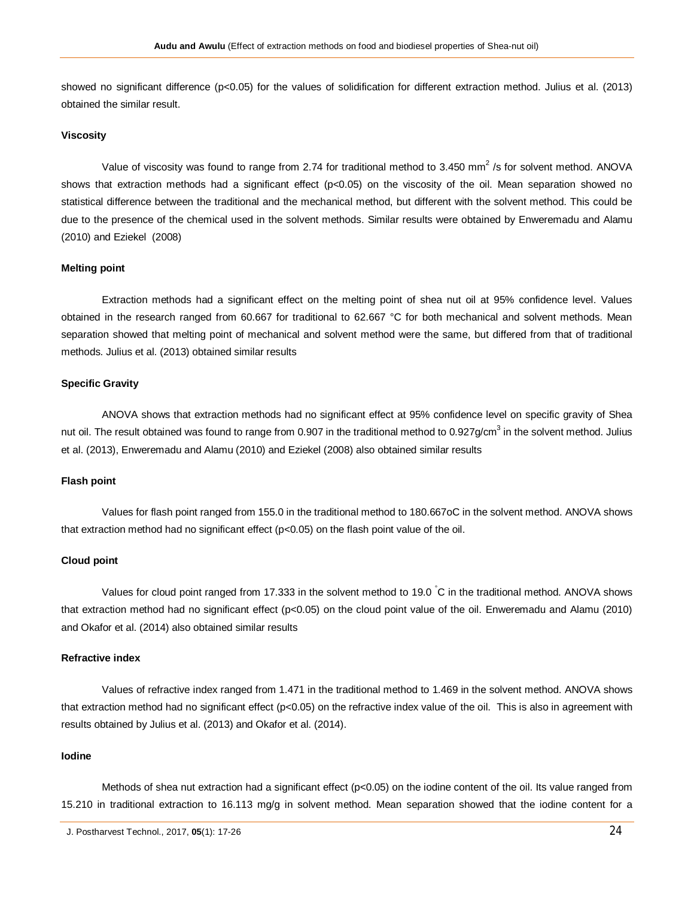showed no significant difference (p<0.05) for the values of solidification for different extraction method. Julius et al. (2013) obtained the similar result.

# **Viscosity**

Value of viscosity was found to range from 2.74 for traditional method to 3.450 mm<sup>2</sup> /s for solvent method. ANOVA shows that extraction methods had a significant effect (p<0.05) on the viscosity of the oil. Mean separation showed no statistical difference between the traditional and the mechanical method, but different with the solvent method. This could be due to the presence of the chemical used in the solvent methods. Similar results were obtained by Enweremadu and Alamu (2010) and Eziekel (2008)

# **Melting point**

Extraction methods had a significant effect on the melting point of shea nut oil at 95% confidence level. Values obtained in the research ranged from 60.667 for traditional to 62.667 °C for both mechanical and solvent methods. Mean separation showed that melting point of mechanical and solvent method were the same, but differed from that of traditional methods. Julius et al. (2013) obtained similar results

#### **Specific Gravity**

ANOVA shows that extraction methods had no significant effect at 95% confidence level on specific gravity of Shea nut oil. The result obtained was found to range from 0.907 in the traditional method to 0.927g/cm<sup>3</sup> in the solvent method. Julius et al. (2013), Enweremadu and Alamu (2010) and Eziekel (2008) also obtained similar results

#### **Flash point**

Values for flash point ranged from 155.0 in the traditional method to 180.667oC in the solvent method. ANOVA shows that extraction method had no significant effect (p<0.05) on the flash point value of the oil.

#### **Cloud point**

Values for cloud point ranged from 17.333 in the solvent method to 19.0 °C in the traditional method. ANOVA shows that extraction method had no significant effect (p<0.05) on the cloud point value of the oil. Enweremadu and Alamu (2010) and Okafor et al. (2014) also obtained similar results

# **Refractive index**

Values of refractive index ranged from 1.471 in the traditional method to 1.469 in the solvent method. ANOVA shows that extraction method had no significant effect (p<0.05) on the refractive index value of the oil. This is also in agreement with results obtained by Julius et al. (2013) and Okafor et al. (2014).

#### **Iodine**

Methods of shea nut extraction had a significant effect (p<0.05) on the iodine content of the oil. Its value ranged from 15.210 in traditional extraction to 16.113 mg/g in solvent method. Mean separation showed that the iodine content for a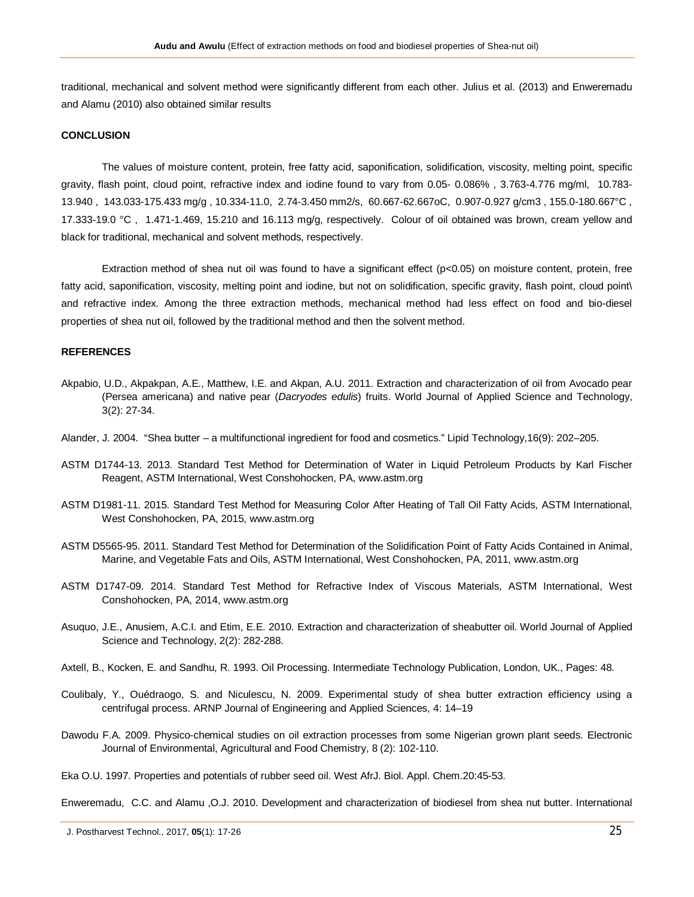traditional, mechanical and solvent method were significantly different from each other. Julius et al. (2013) and Enweremadu and Alamu (2010) also obtained similar results

#### **CONCLUSION**

The values of moisture content, protein, free fatty acid, saponification, solidification, viscosity, melting point, specific gravity, flash point, cloud point, refractive index and iodine found to vary from 0.05- 0.086% , 3.763-4.776 mg/ml, 10.783- 13.940 , 143.033-175.433 mg/g , 10.334-11.0, 2.74-3.450 mm2/s, 60.667-62.667oC, 0.907-0.927 g/cm3 , 155.0-180.667°C , 17.333-19.0 °C , 1.471-1.469, 15.210 and 16.113 mg/g, respectively. Colour of oil obtained was brown, cream yellow and black for traditional, mechanical and solvent methods, respectively.

Extraction method of shea nut oil was found to have a significant effect (p<0.05) on moisture content, protein, free fatty acid, saponification, viscosity, melting point and iodine, but not on solidification, specific gravity, flash point, cloud point\ and refractive index. Among the three extraction methods, mechanical method had less effect on food and bio-diesel properties of shea nut oil, followed by the traditional method and then the solvent method.

#### **REFERENCES**

- Akpabio, U.D., Akpakpan, A.E., Matthew, I.E. and Akpan, A.U. 2011. Extraction and characterization of oil from Avocado pear (Persea americana) and native pear (*Dacryodes edulis*) fruits. World Journal of Applied Science and Technology, 3(2): 27-34.
- Alander, J. 2004. "Shea butter a multifunctional ingredient for food and cosmetics." Lipid Technology,16(9): 202–205.
- ASTM D1744-13. 2013. Standard Test Method for Determination of Water in Liquid Petroleum Products by Karl Fischer Reagent, ASTM International, West Conshohocken, PA, www.astm.org
- ASTM D1981-11. 2015. Standard Test Method for Measuring Color After Heating of Tall Oil Fatty Acids, ASTM International, West Conshohocken, PA, 2015, www.astm.org
- ASTM D5565-95. 2011. Standard Test Method for Determination of the Solidification Point of Fatty Acids Contained in Animal, Marine, and Vegetable Fats and Oils, ASTM International, West Conshohocken, PA, 2011, www.astm.org
- ASTM D1747-09. 2014. Standard Test Method for Refractive Index of Viscous Materials, ASTM International, West Conshohocken, PA, 2014, www.astm.org
- Asuquo, J.E., Anusiem, A.C.I. and Etim, E.E. 2010. Extraction and characterization of sheabutter oil. World Journal of Applied Science and Technology, 2(2): 282-288.
- Axtell, B., Kocken, E. and Sandhu, R. 1993. Oil Processing. Intermediate Technology Publication, London, UK., Pages: 48.
- Coulibaly, Y., Ouédraogo, S. and Niculescu, N. 2009. Experimental study of shea butter extraction efficiency using a centrifugal process. ARNP Journal of Engineering and Applied Sciences, 4: 14–19
- Dawodu F.A. 2009. Physico-chemical studies on oil extraction processes from some Nigerian grown plant seeds. Electronic Journal of Environmental, Agricultural and Food Chemistry, 8 (2): 102-110.
- Eka O.U. 1997. Properties and potentials of rubber seed oil. West AfrJ. Biol. Appl. Chem.20:45-53.

Enweremadu, C.C. and Alamu ,O.J. 2010. Development and characterization of biodiesel from shea nut butter. International